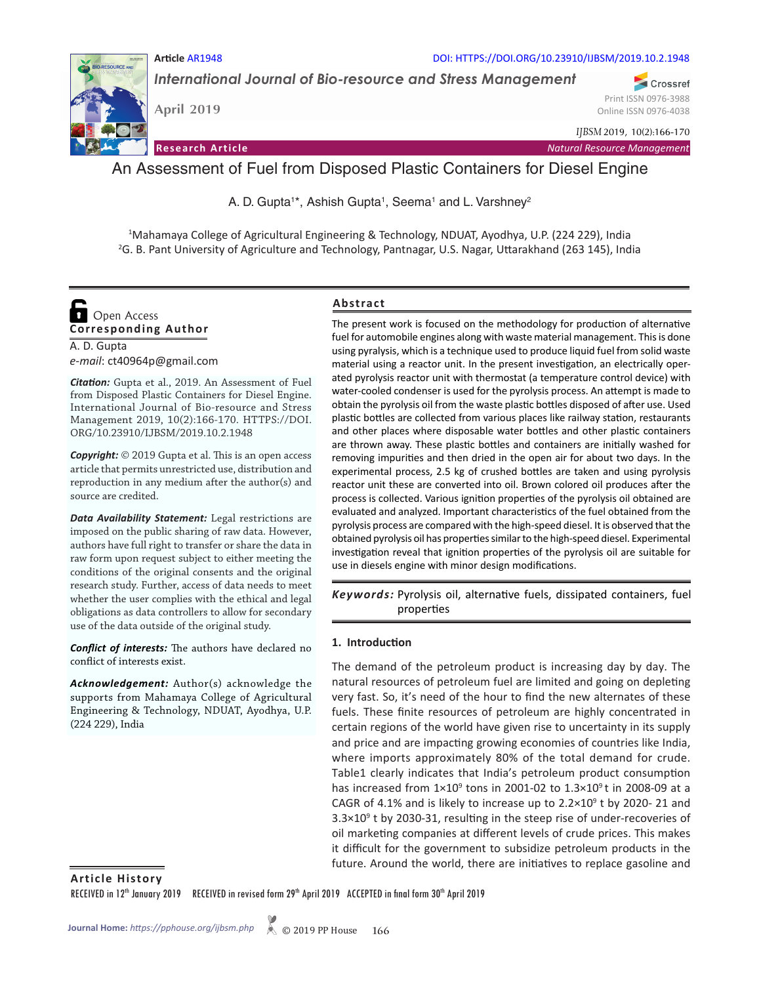

**Article** AR1948 DOI: HTTPS://DOI.ORG/10.23910/IJBSM/2019.10.2.1948

*International Journal of Bio-resource and Stress Management*

**April 2019**

**Research Article**

Print ISSN 0976-3988 Online ISSN 0976-4038

Crossref

*IJBSM* 2019, 10(2):166-170

*Natural Resource Management*

# An Assessment of Fuel from Disposed Plastic Containers for Diesel Engine

A. D. Gupta<sup>1\*</sup>, Ashish Gupta<sup>1</sup>, Seema<sup>1</sup> and L. Varshney<sup>2</sup>

1 Mahamaya College of Agricultural Engineering & Technology, NDUAT, Ayodhya, U.P. (224 229), India 2 G. B. Pant University of Agriculture and Technology, Pantnagar, U.S. Nagar, Uttarakhand (263 145), India

# $\bullet$ Open Access **Corresponding Author**

A. D. Gupta *e-mail*: ct40964p@gmail.com

*Citation:* Gupta et al., 2019. An Assessment of Fuel from Disposed Plastic Containers for Diesel Engine. International Journal of Bio-resource and Stress Management 2019, 10(2):166-170. HTTPS://DOI. ORG/10.23910/IJBSM/2019.10.2.1948

*Copyright:* © 2019 Gupta et al. This is an open access article that permits unrestricted use, distribution and reproduction in any medium after the author(s) and source are credited.

*Data Availability Statement:* Legal restrictions are imposed on the public sharing of raw data. However, authors have full right to transfer or share the data in raw form upon request subject to either meeting the conditions of the original consents and the original research study. Further, access of data needs to meet whether the user complies with the ethical and legal obligations as data controllers to allow for secondary use of the data outside of the original study.

*Conflict of interests:* The authors have declared no conflict of interests exist.

*Acknowledgement:* Author(s) acknowledge the supports from Mahamaya College of Agricultural Engineering & Technology, NDUAT, Ayodhya, U.P. (224 229), India

# **Abstract**

The present work is focused on the methodology for production of alternative fuel for automobile engines along with waste material management. This is done using pyralysis, which is a technique used to produce liquid fuel from solid waste material using a reactor unit. In the present investigation, an electrically operated pyrolysis reactor unit with thermostat (a temperature control device) with water-cooled condenser is used for the pyrolysis process. An attempt is made to obtain the pyrolysis oil from the waste plastic bottles disposed of after use. Used plastic bottles are collected from various places like railway station, restaurants and other places where disposable water bottles and other plastic containers are thrown away. These plastic bottles and containers are initially washed for removing impurities and then dried in the open air for about two days. In the experimental process, 2.5 kg of crushed bottles are taken and using pyrolysis reactor unit these are converted into oil. Brown colored oil produces after the process is collected. Various ignition properties of the pyrolysis oil obtained are evaluated and analyzed. Important characteristics of the fuel obtained from the pyrolysis process are compared with the high-speed diesel. It is observed that the obtained pyrolysis oil has properties similar to the high-speed diesel. Experimental investigation reveal that ignition properties of the pyrolysis oil are suitable for use in diesels engine with minor design modifications.

Keywords: Pyrolysis oil, alternative fuels, dissipated containers, fuel properties

# **1. Introduction**

The demand of the petroleum product is increasing day by day. The natural resources of petroleum fuel are limited and going on depleting very fast. So, it's need of the hour to find the new alternates of these fuels. These finite resources of petroleum are highly concentrated in certain regions of the world have given rise to uncertainty in its supply and price and are impacting growing economies of countries like India, where imports approximately 80% of the total demand for crude. Table1 clearly indicates that India's petroleum product consumption has increased from  $1\times10^9$  tons in 2001-02 to  $1.3\times10^9$  t in 2008-09 at a CAGR of 4.1% and is likely to increase up to  $2.2 \times 10^9$  t by 2020-21 and  $3.3 \times 10^9$  t by 2030-31, resulting in the steep rise of under-recoveries of oil marketing companies at different levels of crude prices. This makes it difficult for the government to subsidize petroleum products in the future. Around the world, there are initiatives to replace gasoline and

**Article History**

RECEIVED in 12<sup>th</sup> January 2019 RECEIVED in revised form 29<sup>th</sup> April 2019 ACCEPTED in final form 30<sup>th</sup> April 2019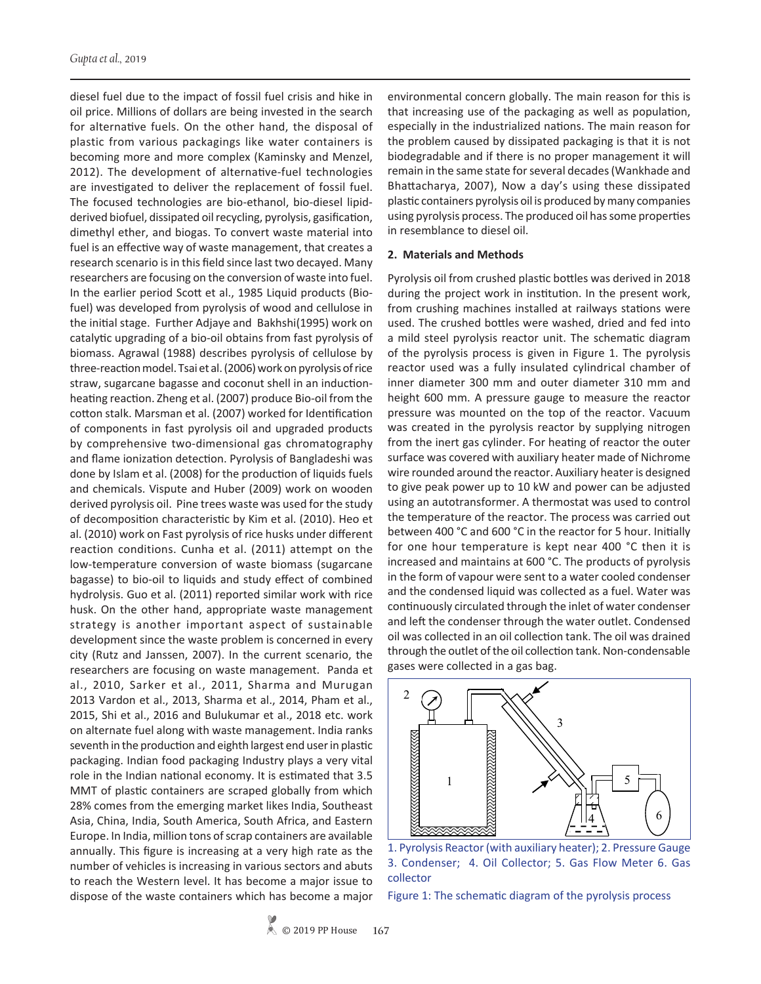diesel fuel due to the impact of fossil fuel crisis and hike in oil price. Millions of dollars are being invested in the search for alternative fuels. On the other hand, the disposal of plastic from various packagings like water containers is becoming more and more complex (Kaminsky and Menzel, 2012). The development of alternative-fuel technologies are investigated to deliver the replacement of fossil fuel. The focused technologies are bio-ethanol, bio-diesel lipidderived biofuel, dissipated oil recycling, pyrolysis, gasification, dimethyl ether, and biogas. To convert waste material into fuel is an effective way of waste management, that creates a research scenario is in this field since last two decayed. Many researchers are focusing on the conversion of waste into fuel. In the earlier period Scott et al., 1985 Liquid products (Biofuel) was developed from pyrolysis of wood and cellulose in the initial stage. Further Adjaye and Bakhshi(1995) work on catalytic upgrading of a bio-oil obtains from fast pyrolysis of biomass. Agrawal (1988) describes pyrolysis of cellulose by three-reaction model. Tsai et al. (2006) work on pyrolysis of rice straw, sugarcane bagasse and coconut shell in an inductionheating reaction. Zheng et al. (2007) produce Bio-oil from the cotton stalk. Marsman et al. (2007) worked for Identification of components in fast pyrolysis oil and upgraded products by comprehensive two-dimensional gas chromatography and flame ionization detection. Pyrolysis of Bangladeshi was done by Islam et al. (2008) for the production of liquids fuels and chemicals. Vispute and Huber (2009) work on wooden derived pyrolysis oil. Pine trees waste was used for the study of decomposition characteristic by Kim et al. (2010). Heo et al. (2010) work on Fast pyrolysis of rice husks under different reaction conditions. Cunha et al. (2011) attempt on the low-temperature conversion of waste biomass (sugarcane bagasse) to bio-oil to liquids and study effect of combined hydrolysis. Guo et al. (2011) reported similar work with rice husk. On the other hand, appropriate waste management strategy is another important aspect of sustainable development since the waste problem is concerned in every city (Rutz and Janssen, 2007). In the current scenario, the researchers are focusing on waste management. Panda et al., 2010, Sarker et al., 2011, Sharma and Murugan 2013 Vardon et al., 2013, Sharma et al., 2014, Pham et al., 2015, Shi et al., 2016 and Bulukumar et al., 2018 etc. work on alternate fuel along with waste management. India ranks seventh in the production and eighth largest end user in plastic packaging. Indian food packaging Industry plays a very vital role in the Indian national economy. It is estimated that 3.5 MMT of plastic containers are scraped globally from which 28% comes from the emerging market likes India, Southeast Asia, China, India, South America, South Africa, and Eastern Europe. In India, million tons of scrap containers are available annually. This figure is increasing at a very high rate as the number of vehicles is increasing in various sectors and abuts to reach the Western level. It has become a major issue to dispose of the waste containers which has become a major environmental concern globally. The main reason for this is that increasing use of the packaging as well as population, especially in the industrialized nations. The main reason for the problem caused by dissipated packaging is that it is not biodegradable and if there is no proper management it will remain in the same state for several decades (Wankhade and Bhattacharya, 2007), Now a day's using these dissipated plastic containers pyrolysis oil is produced by many companies using pyrolysis process. The produced oil has some properties in resemblance to diesel oil.

#### **2. Materials and Methods**

Pyrolysis oil from crushed plastic bottles was derived in 2018 during the project work in institution. In the present work, from crushing machines installed at railways stations were used. The crushed bottles were washed, dried and fed into a mild steel pyrolysis reactor unit. The schematic diagram of the pyrolysis process is given in Figure 1. The pyrolysis reactor used was a fully insulated cylindrical chamber of inner diameter 300 mm and outer diameter 310 mm and height 600 mm. A pressure gauge to measure the reactor pressure was mounted on the top of the reactor. Vacuum was created in the pyrolysis reactor by supplying nitrogen from the inert gas cylinder. For heating of reactor the outer surface was covered with auxiliary heater made of Nichrome wire rounded around the reactor. Auxiliary heater is designed to give peak power up to 10 kW and power can be adjusted using an autotransformer. A thermostat was used to control the temperature of the reactor. The process was carried out between 400 °C and 600 °C in the reactor for 5 hour. Initially for one hour temperature is kept near 400 °C then it is increased and maintains at 600 °C. The products of pyrolysis in the form of vapour were sent to a water cooled condenser and the condensed liquid was collected as a fuel. Water was continuously circulated through the inlet of water condenser and left the condenser through the water outlet. Condensed oil was collected in an oil collection tank. The oil was drained through the outlet of the oil collection tank. Non-condensable gases were collected in a gas bag.



1. Pyrolysis Reactor (with auxiliary heater); 2. Pressure Gauge 3. Condenser; 4. Oil Collector; 5. Gas Flow Meter 6. Gas collector

Figure 1: The schematic diagram of the pyrolysis process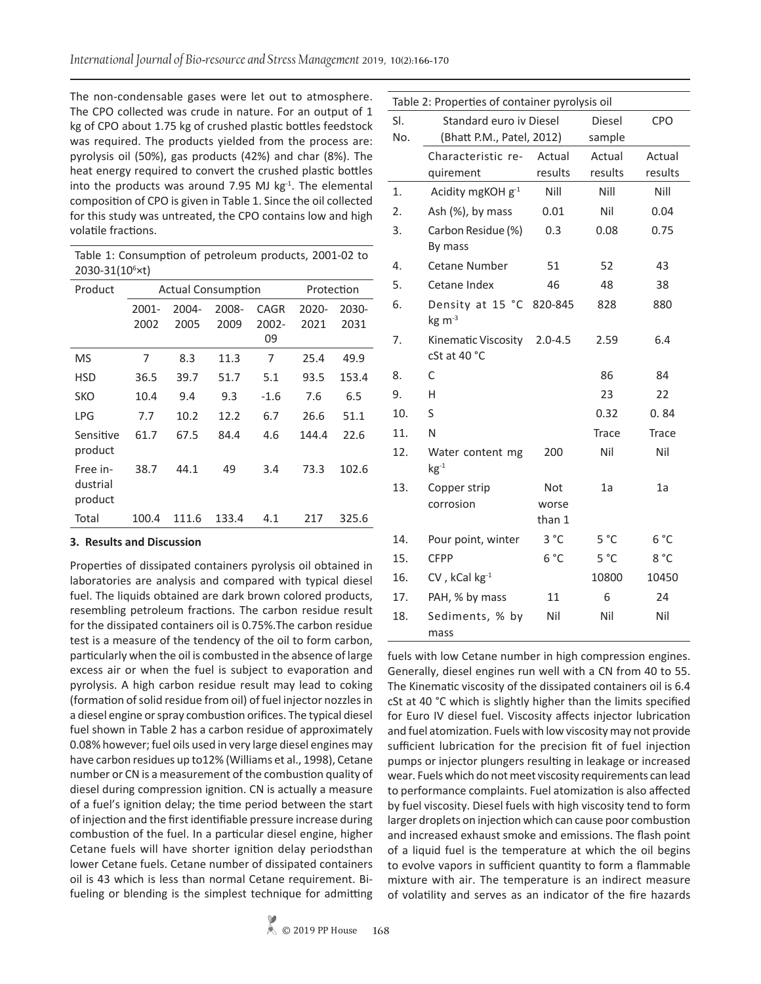The non-condensable gases were let out to atmosphere. The CPO collected was crude in nature. For an output of 1 kg of CPO about 1.75 kg of crushed plastic bottles feedstock was required. The products yielded from the process are: pyrolysis oil (50%), gas products (42%) and char (8%). The heat energy required to convert the crushed plastic bottles into the products was around 7.95 MJ  $kg<sup>-1</sup>$ . The elemental composition of CPO is given in Table 1. Since the oil collected for this study was untreated, the CPO contains low and high volatile fractions.

Table 1: Consumption of petroleum products, 2001-02 to 2030-31(106 ×t)

| Product                         |       | <b>Actual Consumption</b> |       | Protection |       |       |
|---------------------------------|-------|---------------------------|-------|------------|-------|-------|
|                                 | 2001- | 2004-                     | 2008- | CAGR       | 2020- | 2030- |
|                                 | 2002  | 2005                      | 2009  | $2002 -$   | 2021  | 2031  |
|                                 |       |                           |       | 09         |       |       |
| MS                              | 7     | 8.3                       | 11.3  | 7          | 25.4  | 49.9  |
| <b>HSD</b>                      | 36.5  | 39.7                      | 51.7  | 5.1        | 93.5  | 153.4 |
| <b>SKO</b>                      | 10.4  | 9.4                       | 9.3   | $-1.6$     | 7.6   | 6.5   |
| LPG                             | 7.7   | 10.2                      | 12.2  | 6.7        | 26.6  | 51.1  |
| Sensitive<br>product            | 61.7  | 67.5                      | 84.4  | 4.6        | 144.4 | 22.6  |
| Free in-<br>dustrial<br>product | 38.7  | 44.1                      | 49    | 3.4        | 73.3  | 102.6 |
| Total                           | 100.4 | 111.6                     | 133.4 | 4.1        | 217   | 325.6 |

## **3. Results and Discussion**

Properties of dissipated containers pyrolysis oil obtained in laboratories are analysis and compared with typical diesel fuel. The liquids obtained are dark brown colored products, resembling petroleum fractions. The carbon residue result for the dissipated containers oil is 0.75%.The carbon residue test is a measure of the tendency of the oil to form carbon, particularly when the oil is combusted in the absence of large excess air or when the fuel is subject to evaporation and pyrolysis. A high carbon residue result may lead to coking (formation of solid residue from oil) of fuel injector nozzles in a diesel engine or spray combustion orifices. The typical diesel fuel shown in Table 2 has a carbon residue of approximately 0.08% however; fuel oils used in very large diesel engines may have carbon residues up to12% (Williams et al., 1998), Cetane number or CN is a measurement of the combustion quality of diesel during compression ignition. CN is actually a measure of a fuel's ignition delay; the time period between the start of injection and the first identifiable pressure increase during combustion of the fuel. In a particular diesel engine, higher Cetane fuels will have shorter ignition delay periodsthan lower Cetane fuels. Cetane number of dissipated containers oil is 43 which is less than normal Cetane requirement. Bifueling or blending is the simplest technique for admitting

| Table 2: Properties of container pyrolysis oil |                                                      |                         |                   |                   |  |  |  |  |
|------------------------------------------------|------------------------------------------------------|-------------------------|-------------------|-------------------|--|--|--|--|
| SI.<br>No.                                     | Standard euro iv Diesel<br>(Bhatt P.M., Patel, 2012) | <b>Diesel</b><br>sample | <b>CPO</b>        |                   |  |  |  |  |
|                                                | Characteristic re-<br>quirement                      | Actual<br>results       | Actual<br>results | Actual<br>results |  |  |  |  |
| 1.                                             | Acidity mgKOH g-1                                    | Nill                    | Nill              | Nill              |  |  |  |  |
| 2.                                             | Ash (%), by mass                                     | 0.01                    | Nil               | 0.04              |  |  |  |  |
| 3.                                             | Carbon Residue (%)<br>By mass                        | 0.3                     | 0.08              | 0.75              |  |  |  |  |
| 4.                                             | Cetane Number                                        | 51                      | 52                | 43                |  |  |  |  |
| 5.                                             | Cetane Index                                         | 46                      | 48                | 38                |  |  |  |  |
| 6.                                             | Density at 15 °C<br>$kg \, \text{m}^{-3}$            | 820-845                 | 828               | 880               |  |  |  |  |
| 7.                                             | Kinematic Viscosity<br>cSt at 40 °C                  | $2.0 - 4.5$             | 2.59              | 6.4               |  |  |  |  |
| 8.                                             | C                                                    |                         | 86                | 84                |  |  |  |  |
| 9.                                             | н                                                    |                         | 23                | 22                |  |  |  |  |
| 10.                                            | S                                                    |                         | 0.32              | 0.84              |  |  |  |  |
| 11.                                            | N                                                    |                         | <b>Trace</b>      | Trace             |  |  |  |  |
| 12.                                            | Water content mg<br>$kg^{-1}$                        | 200                     | Nil               | Nil               |  |  |  |  |
| 13.                                            | Copper strip                                         | Not                     | 1a                | 1a                |  |  |  |  |
|                                                | corrosion                                            | worse<br>than 1         |                   |                   |  |  |  |  |
| 14.                                            | Pour point, winter                                   | 3 °C                    | 5 °C              | 6 °C              |  |  |  |  |
| 15.                                            | <b>CFPP</b>                                          | $6^{\circ}$ C           | $5^{\circ}$ C     | 8°C               |  |  |  |  |
| 16.                                            | $CV$ , kCal $kg^{-1}$                                |                         | 10800             | 10450             |  |  |  |  |
| 17.                                            | PAH, % by mass                                       | 11                      | 6                 | 24                |  |  |  |  |
| 18.                                            | Sediments, % by<br>mass                              | Nil                     | Nil               | Nil               |  |  |  |  |

fuels with low Cetane number in high compression engines. Generally, diesel engines run well with a CN from 40 to 55. The Kinematic viscosity of the dissipated containers oil is 6.4 cSt at 40 °C which is slightly higher than the limits specified for Euro IV diesel fuel. Viscosity affects injector lubrication and fuel atomization. Fuels with low viscosity may not provide sufficient lubrication for the precision fit of fuel injection pumps or injector plungers resulting in leakage or increased wear. Fuels which do not meet viscosity requirements can lead to performance complaints. Fuel atomization is also affected by fuel viscosity. Diesel fuels with high viscosity tend to form larger droplets on injection which can cause poor combustion and increased exhaust smoke and emissions. The flash point of a liquid fuel is the temperature at which the oil begins to evolve vapors in sufficient quantity to form a flammable mixture with air. The temperature is an indirect measure of volatility and serves as an indicator of the fire hazards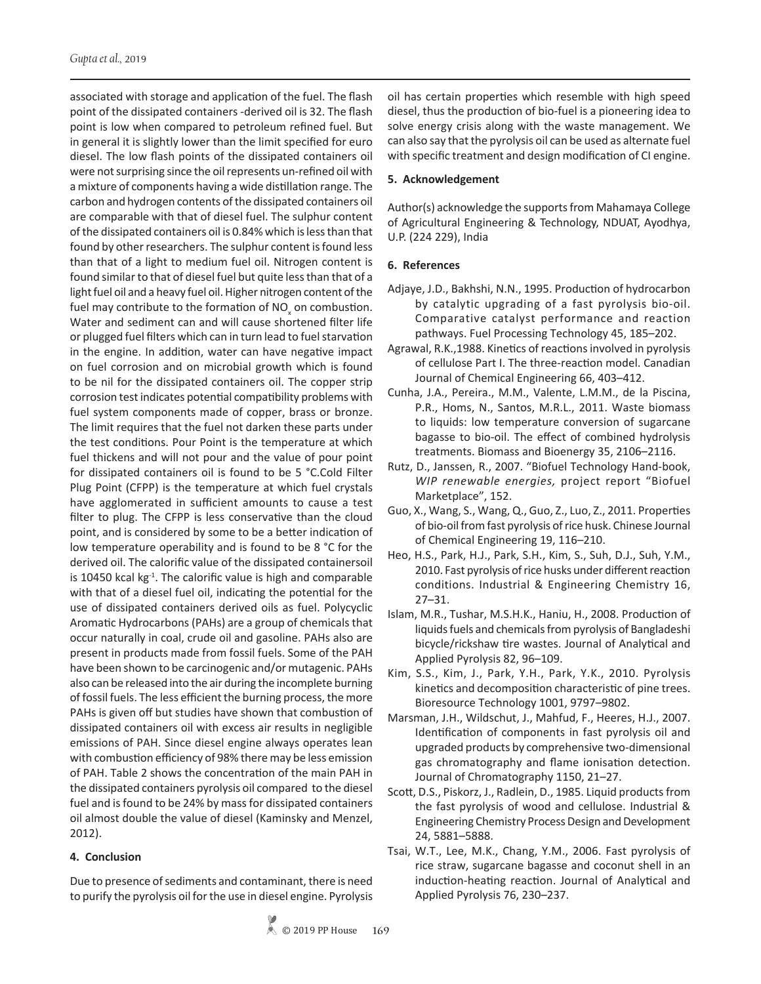associated with storage and application of the fuel. The flash point of the dissipated containers -derived oil is 32. The flash point is low when compared to petroleum refined fuel. But in general it is slightly lower than the limit specified for euro diesel. The low flash points of the dissipated containers oil were not surprising since the oil represents un-refined oil with a mixture of components having a wide distillation range. The carbon and hydrogen contents of the dissipated containers oil are comparable with that of diesel fuel. The sulphur content of the dissipated containers oil is 0.84% which is less than that found by other researchers. The sulphur content is found less than that of a light to medium fuel oil. Nitrogen content is found similar to that of diesel fuel but quite less than that of a light fuel oil and a heavy fuel oil. Higher nitrogen content of the fuel may contribute to the formation of  $NO<sub>x</sub>$  on combustion. Water and sediment can and will cause shortened filter life or plugged fuel filters which can in turn lead to fuel starvation in the engine. In addition, water can have negative impact on fuel corrosion and on microbial growth which is found to be nil for the dissipated containers oil. The copper strip corrosion test indicates potential compatibility problems with fuel system components made of copper, brass or bronze. The limit requires that the fuel not darken these parts under the test conditions. Pour Point is the temperature at which fuel thickens and will not pour and the value of pour point for dissipated containers oil is found to be 5 °C.Cold Filter Plug Point (CFPP) is the temperature at which fuel crystals have agglomerated in sufficient amounts to cause a test filter to plug. The CFPP is less conservative than the cloud point, and is considered by some to be a better indication of low temperature operability and is found to be 8 °C for the derived oil. The calorific value of the dissipated containersoil is 10450 kcal  $kg<sup>-1</sup>$ . The calorific value is high and comparable with that of a diesel fuel oil, indicating the potential for the use of dissipated containers derived oils as fuel. Polycyclic Aromatic Hydrocarbons (PAHs) are a group of chemicals that occur naturally in coal, crude oil and gasoline. PAHs also are present in products made from fossil fuels. Some of the PAH have been shown to be carcinogenic and/or mutagenic. PAHs also can be released into the air during the incomplete burning of fossil fuels. The less efficient the burning process, the more PAHs is given off but studies have shown that combustion of dissipated containers oil with excess air results in negligible emissions of PAH. Since diesel engine always operates lean with combustion efficiency of 98% there may be less emission of PAH. Table 2 shows the concentration of the main PAH in the dissipated containers pyrolysis oil compared to the diesel fuel and is found to be 24% by mass for dissipated containers oil almost double the value of diesel (Kaminsky and Menzel, 2012).

## **4. Conclusion**

Due to presence of sediments and contaminant, there is need to purify the pyrolysis oil for the use in diesel engine. Pyrolysis oil has certain properties which resemble with high speed diesel, thus the production of bio-fuel is a pioneering idea to solve energy crisis along with the waste management. We can also say that the pyrolysis oil can be used as alternate fuel with specific treatment and design modification of CI engine.

## **5. Acknowledgement**

Author(s) acknowledge the supports from Mahamaya College of Agricultural Engineering & Technology, NDUAT, Ayodhya, U.P. (224 229), India

## **6. References**

- Adjaye, J.D., Bakhshi, N.N., 1995. Production of hydrocarbon by catalytic upgrading of a fast pyrolysis bio-oil. Comparative catalyst performance and reaction pathways. Fuel Processing Technology 45, 185–202.
- Agrawal, R.K.,1988. Kinetics of reactions involved in pyrolysis of cellulose Part I. The three-reaction model. Canadian Journal of Chemical Engineering 66, 403–412.
- Cunha, J.A., Pereira., M.M., Valente, L.M.M., de la Piscina, P.R., Homs, N., Santos, M.R.L., 2011. Waste biomass to liquids: low temperature conversion of sugarcane bagasse to bio-oil. The effect of combined hydrolysis treatments. Biomass and Bioenergy 35, 2106–2116.
- Rutz, D., Janssen, R., 2007. "Biofuel Technology Hand-book, *WIP renewable energies,* project report "Biofuel Marketplace", 152.
- Guo, X., Wang, S., Wang, Q., Guo, Z., Luo, Z., 2011. Properties of bio-oil from fast pyrolysis of rice husk. Chinese Journal of Chemical Engineering 19, 116–210.
- Heo, H.S., Park, H.J., Park, S.H., Kim, S., Suh, D.J., Suh, Y.M., 2010. Fast pyrolysis of rice husks under different reaction conditions. Industrial & Engineering Chemistry 16, 27–31.
- Islam, M.R., Tushar, M.S.H.K., Haniu, H., 2008. Production of liquids fuels and chemicals from pyrolysis of Bangladeshi bicycle/rickshaw tire wastes. Journal of Analytical and Applied Pyrolysis 82, 96–109.
- Kim, S.S., Kim, J., Park, Y.H., Park, Y.K., 2010. Pyrolysis kinetics and decomposition characteristic of pine trees. Bioresource Technology 1001, 9797–9802.
- Marsman, J.H., Wildschut, J., Mahfud, F., Heeres, H.J., 2007. Identification of components in fast pyrolysis oil and upgraded products by comprehensive two-dimensional gas chromatography and flame ionisation detection. Journal of Chromatography 1150, 21–27.
- Scott, D.S., Piskorz, J., Radlein, D., 1985. Liquid products from the fast pyrolysis of wood and cellulose. Industrial & Engineering Chemistry Process Design and Development 24, 5881–5888.
- Tsai, W.T., Lee, M.K., Chang, Y.M., 2006. Fast pyrolysis of rice straw, sugarcane bagasse and coconut shell in an induction-heating reaction. Journal of Analytical and Applied Pyrolysis 76, 230–237.